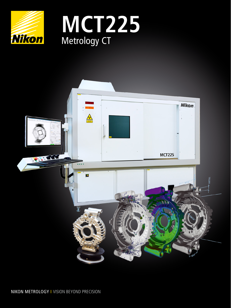



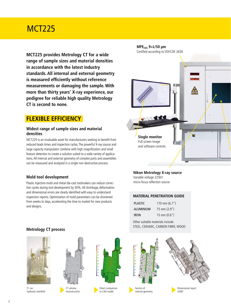## MCT225

**MCT225 provides Metrology CT for a wide range of sample sizes and material densities in accordance with the latest industry standards. All internal and external geometry is measured efficiently without reference measurements or damaging the sample. With more than thirty years' X-ray experience, our pedigree for reliable high quality Metrology CT is second to none.**

## **FLEXIBLE EFFICIENCY**

### **Widest range of sample sizes and material densities**

MCT225 is an invaluable asset for manufacturers seeking to benefit from reduced leads times and inspection cycles. The powerful X-ray source and large capacity manipulator combine with high magnification and small feature detection to create a solution suited to a wide variety of applications. All internal and external geometry of complex parts and assemblies can be measured and analyzed in a single non-destructive process.

## **Mold tool development**

Plastic injection-mold and metal die-cast toolmakers can reduce correction cycles during tool development by 50%. All shrinkage, deformation and dimensional errors are clearly identified with easy to understand inspection reports. Optimization of mold parameters can be shortened from weeks to days, accelerating the time to market for new products and designs.

## **Metrology CT process**



F1 car hydraulic manifold



CT volume reconstruction





Direct comparison to CAD model



**Nikon Metrology X-ray source** Variable voltage 225kV

micro-focus reflection source

### **MATERIAL PENETRATION GUIDE**

| PLASTIC.    | 170 mm $(6.7")$        |
|-------------|------------------------|
| ALUMINIUM   | $75 \text{ mm}$ (2.9") |
| <b>IRON</b> | $15 \text{ mm} (0.6")$ |

Other suitable materials include: STEEL, CERAMIC, CARBON FIBRE, WOOD

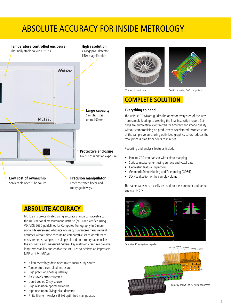# ABSOLUTE ACCURACY FOR INSIDE METROLOGY

## **Temperature controlled enclosure High resolution** Thermally stable to 20 $\degree$  C  $\pm$ 1 $\degree$  C 4 Megapixel detector 150x magnification **Nikon Large capacity** Samples sizes **MCT225** up to 450mm **Protective enclosure** No risk of radiation exposure **Low cost of ownership Precision manipulator** Serviceable open-tube source Laser corrected linear and rotary guideways

## **ABSOLUTE ACCURACY**

MCT225 is pre-calibrated using accuracy standards traceable to the UK's national measurement institute (NPL) and verified using VDI/VDE 2630 guidelines for Computed Tomography in Dimensional Measurement. Absolute Accuracy guarantees measurement accuracy without time consuming comparative scans or reference measurements, samples are simply placed on a rotary table inside the enclosure and measured. Several key metrology features provide long term stability and enable the MCT225 to achieve an impressive MPE(SD) of 9+L/50µm.

- Nikon Metrology developed micro-focus X-ray source.
- Temperature controlled enclosure.
- High precision linear guideways.
- Axis travels error corrected.
- Liquid cooled X-ray source.
- High resolution optical encoders.
- High resolution 4Megapixel detector.
- Finite Element Analysis (FEA) optimized manipulator.





CT scan of plastic fan Section showing CAD comparison

## **COMPLETE SOLUTION**

### **Everything to hand**

The unique CT Wizard guides the operator every step of the way from sample loading to creating the final inspection report. Settings are automatically optimized for accuracy and image quality without compromising on productivity. Accelerated reconstruction of the sample volume, using optimized graphics cards, reduces the total process time from hours to minutes.

Reporting and analysis features include:

- Part-to-CAD comparison with colour mapping
- Surface measurement using surface and voxel data
- Geometric feature inspection
- Geometric Dimensioning and Tolerancing (GD&T)
- 3D visualization of the sample volume

The same dataset can easily be used for measurement and defect analysis (NDT).



Extensive 3D analysis of impeller